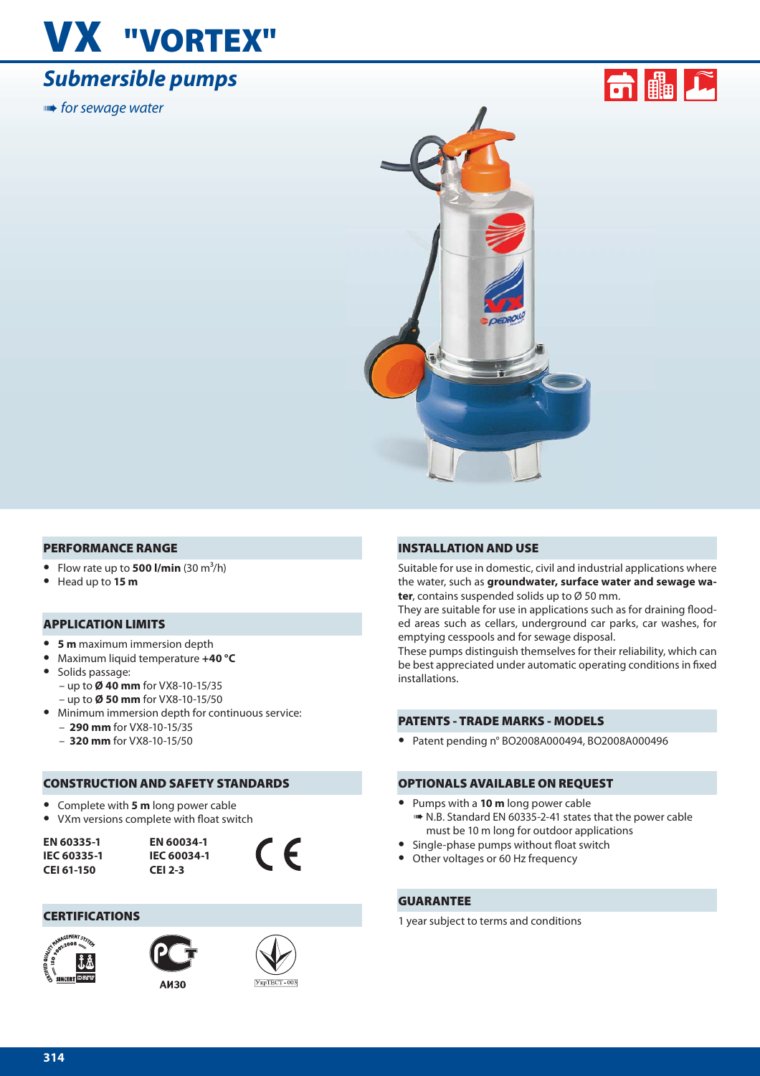# **VX "VORTEX"**

### *Submersible pumps*

**■ for sewage water** 





#### **PERFORMANCE RANGE**

- Flow rate up to **500 l/min**  $(30 \text{ m}^3/\text{h})$
- **•** Head up to **15 m**

#### **APPLICATION LIMITS**

- **• 5 m** maximum immersion depth
- **•** Maximum liquid temperature **+40 °C**
- **•** Solids passage: – up to **Ø 40 mm** for VX8-10-15/35 – up to **Ø 50 mm** for VX8-10-15/50
- **•** Minimum immersion depth for continuous service:
	- **290 mm** for VX8-10-15/35
	- **320 mm** for VX8-10-15/50

#### **CONSTRUCTION AND SAFETY STANDARDS**

- **•** Complete with **5 m** long power cable
- VXm versions complete with float switch

**EN 60335-1 IEC 60335-1 CEI 61-150**



#### **CERTIFICATIONS**





УкрТЕСТ-003

 $\epsilon$ 

#### **INSTALLATION AND USE**

Suitable for use in domestic, civil and industrial applications where the water, such as **groundwater, surface water and sewage water**, contains suspended solids up to Ø 50 mm.

They are suitable for use in applications such as for draining flooded areas such as cellars, underground car parks, car washes, for emptying cesspools and for sewage disposal.

These pumps distinguish themselves for their reliability, which can be best appreciated under automatic operating conditions in fixed installations.

#### **PATENTS - TRADE MARKS - MODELS**

**•** Patent pending n° BO2008A000494, BO2008A000496

#### **OPTIONALS AVAILABLE ON REQUEST**

- **•** Pumps with a **10 m** long power cable ➠ N.B. Standard EN 60335-2-41 states that the power cable must be 10 m long for outdoor applications
- Single-phase pumps without float switch
- **•** Other voltages or 60 Hz frequency

#### **GUARANTEE**

1 year subject to terms and conditions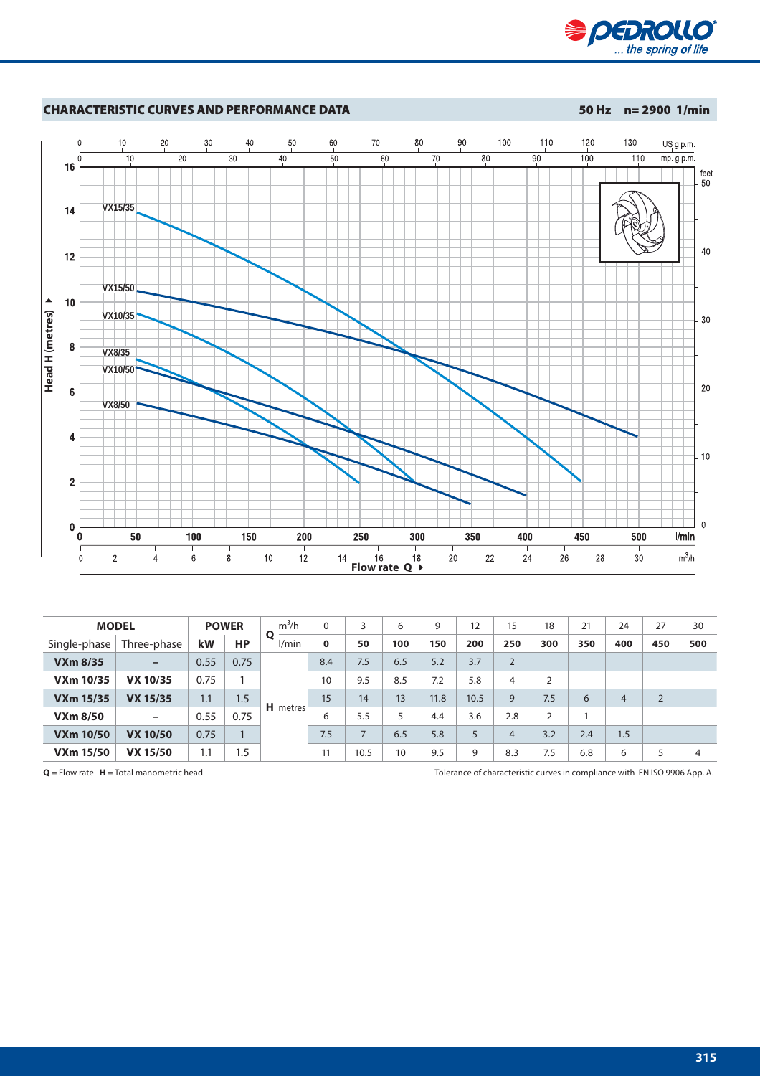



|                  | <b>MODEL</b>             |      | <b>POWER</b> | $m^3/h$               | $\Omega$ | 3    | 6   | 9    | 12   | 15             | 18             | 21  | 24             | 27             | 30  |
|------------------|--------------------------|------|--------------|-----------------------|----------|------|-----|------|------|----------------|----------------|-----|----------------|----------------|-----|
| Single-phase     | Three-phase              | kW   | HР           | $\mathbf{o}$<br>l/min | $\bf{0}$ | 50   | 100 | 150  | 200  | 250            | 300            | 350 | 400            | 450            | 500 |
| <b>VXm 8/35</b>  | $\overline{\phantom{m}}$ | 0.55 | 0.75         |                       | 8.4      | 7.5  | 6.5 | 5.2  | 3.7  | $\overline{2}$ |                |     |                |                |     |
| <b>VXm 10/35</b> | <b>VX 10/35</b>          | 0.75 |              |                       | 10       | 9.5  | 8.5 | 7.2  | 5.8  | 4              | 2              |     |                |                |     |
| <b>VXm 15/35</b> | <b>VX 15/35</b>          | 1.1  | 1.5          |                       | 15       | 14   | 13  | 11.8 | 10.5 | 9              | 7.5            | 6   | $\overline{4}$ | $\overline{2}$ |     |
| <b>VXm 8/50</b>  | $\overline{\phantom{m}}$ | 0.55 | 0.75         | <b>H</b> metres       | 6        | 5.5  | 5   | 4.4  | 3.6  | 2.8            | $\overline{2}$ |     |                |                |     |
| <b>VXm 10/50</b> | <b>VX 10/50</b>          | 0.75 |              |                       | 7.5      |      | 6.5 | 5.8  | 5    | 4              | 3.2            | 2.4 | 1.5            |                |     |
| <b>VXm 15/50</b> | <b>VX 15/50</b>          | ۱.1  | 1.5          |                       | 11       | 10.5 | 10  | 9.5  | 9    | 8.3            | 7.5            | 6.8 | 6              | 5              | 4   |

**Q** = Flow rate **H** = Total manometric head Tolerance of characteristic curves in compliance with EN ISO 9906 App. A.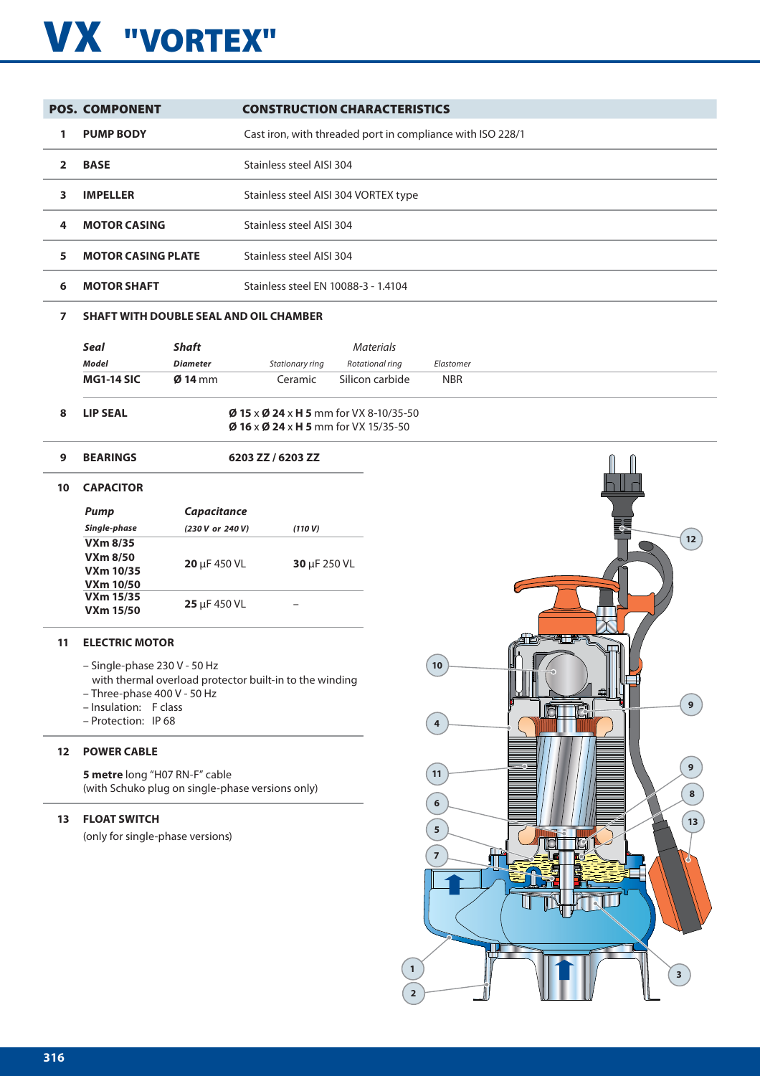## **VX "VORTEX"**

|   | <b>POS. COMPONENT</b>     | <b>CONSTRUCTION CHARACTERISTICS</b>                        |
|---|---------------------------|------------------------------------------------------------|
|   | <b>PUMP BODY</b>          | Cast iron, with threaded port in compliance with ISO 228/1 |
|   | <b>BASE</b>               | Stainless steel AISI 304                                   |
| 3 | <b>IMPELLER</b>           | Stainless steel AISI 304 VORTEX type                       |
| 4 | <b>MOTOR CASING</b>       | Stainless steel AISI 304                                   |
| 5 | <b>MOTOR CASING PLATE</b> | Stainless steel AISI 304                                   |
| 6 | <b>MOTOR SHAFT</b>        | Stainless steel EN 10088-3 - 1.4104                        |

#### **7 SHAFT WITH DOUBLE SEAL AND OIL CHAMBER**

| LIP SEAL          |                   |                 | $\emptyset$ 15 x $\emptyset$ 24 x H 5 mm for VX 8-10/35-50 |            |
|-------------------|-------------------|-----------------|------------------------------------------------------------|------------|
| <b>MG1-14 SIC</b> | $\emptyset$ 14 mm | Ceramic         | Silicon carbide                                            | <b>NBR</b> |
| <b>Model</b>      | <b>Diameter</b>   | Stationary ring | Rotational ring                                            | Elastomer  |
| Seal              | Shaft             |                 | <i>Materials</i>                                           |            |

 **Ø 16** x **Ø 24** x **H 5** mm for VX 15/35-50

#### **9 BEARINGS 6203 ZZ / 6203 ZZ**

#### **10 CAPACITOR**

| Pump                                                    | <b>Capacitance</b> |              |
|---------------------------------------------------------|--------------------|--------------|
| Single-phase                                            | (230 V or 240 V)   | (110 V)      |
| $VXm$ 8/35<br>VXm 8/50<br>VXm 10/35<br><b>VXm 10/50</b> | $20 \mu F 450 VL$  | 30 µF 250 VL |
| VXm 15/35<br><b>VXm 15/50</b>                           | 25 µF 450 VL       |              |

#### **11 ELECTRIC MOTOR**

- Single-phase 230 V 50 Hz
	- with thermal overload protector built-in to the winding
- Three-phase 400 V 50 Hz
- Insulation: F class
- Protection: IP 68

#### **12 POWER CABLE**

**5 metre** long "H07 RN-F" cable (with Schuko plug on single-phase versions only)

#### **13 FLOAT SWITCH**

(only for single-phase versions)